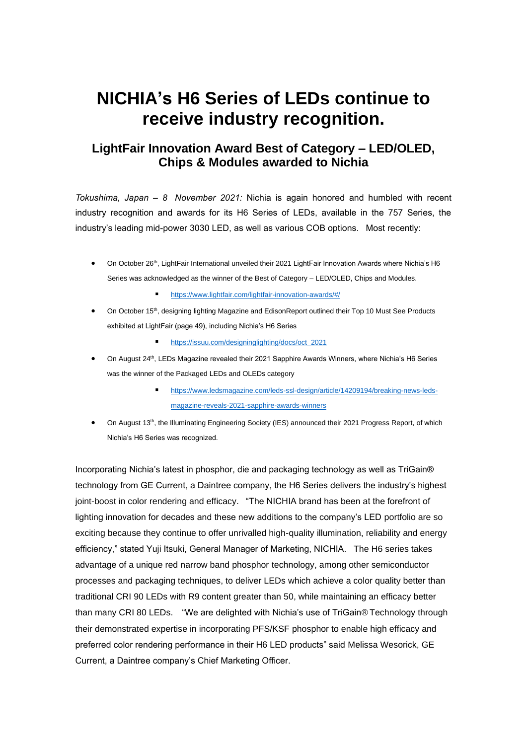## **NICHIA's H6 Series of LEDs continue to receive industry recognition.**

## **LightFair Innovation Award Best of Category – LED/OLED, Chips & Modules awarded to Nichia**

*Tokushima, Japan – 8 November 2021:* Nichia is again honored and humbled with recent industry recognition and awards for its H6 Series of LEDs, available in the 757 Series, the industry's leading mid-power 3030 LED, as well as various COB options. Most recently:

- On October 26<sup>th</sup>, LightFair International unveiled their 2021 LightFair Innovation Awards where Nichia's H6 Series was acknowledged as the winner of the Best of Category – LED/OLED, Chips and Modules.
	- <https://www.lightfair.com/lightfair-innovation-awards/#/>
- On October 15<sup>th</sup>, designing lighting Magazine and EdisonReport outlined their Top 10 Must See Products exhibited at LightFair (page 49), including Nichia's H6 Series
	- [https://issuu.com/designinglighting/docs/oct\\_2021](https://nam11.safelinks.protection.outlook.com/?url=https%3A%2F%2Fissuu.com%2Fdesigninglighting%2Fdocs%2Foct_2021&data=04%7C01%7Cjames.benson%40gecurrent.com%7Cdbea36b2560f4e167ad708d998fb0de5%7C5cf8fef2669f49ab9ac3e8c4076ef82b%7C0%7C1%7C637709026329783046%7CUnknown%7CTWFpbGZsb3d8eyJWIjoiMC4wLjAwMDAiLCJQIjoiV2luMzIiLCJBTiI6Ik1haWwiLCJXVCI6Mn0%3D%7C3000&sdata=EbDmsZcCrZmN0vGXmkHvLDRouFX1CYCYKYre20wXuiw%3D&reserved=0)
- On August 24th, LEDs Magazine revealed their 2021 Sapphire Awards Winners, where Nichia's H6 Series was the winner of the Packaged LEDs and OLEDs category
	- [https://www.ledsmagazine.com/leds-ssl-design/article/14209194/breaking-news-leds](https://nam11.safelinks.protection.outlook.com/?url=https%3A%2F%2Fwww.ledsmagazine.com%2Fleds-ssl-design%2Farticle%2F14209194%2Fbreaking-news-leds-magazine-reveals-2021-sapphire-awards-winners&data=04%7C01%7Cjames.benson%40gecurrent.com%7Cdbea36b2560f4e167ad708d998fb0de5%7C5cf8fef2669f49ab9ac3e8c4076ef82b%7C0%7C1%7C637709026329793000%7CUnknown%7CTWFpbGZsb3d8eyJWIjoiMC4wLjAwMDAiLCJQIjoiV2luMzIiLCJBTiI6Ik1haWwiLCJXVCI6Mn0%3D%7C3000&sdata=3BIKgj4hHMgcfKw%2BsMOT5ADhHTuBBGyHhv35p%2FAMu%2Bc%3D&reserved=0)[magazine-reveals-2021-sapphire-awards-winners](https://nam11.safelinks.protection.outlook.com/?url=https%3A%2F%2Fwww.ledsmagazine.com%2Fleds-ssl-design%2Farticle%2F14209194%2Fbreaking-news-leds-magazine-reveals-2021-sapphire-awards-winners&data=04%7C01%7Cjames.benson%40gecurrent.com%7Cdbea36b2560f4e167ad708d998fb0de5%7C5cf8fef2669f49ab9ac3e8c4076ef82b%7C0%7C1%7C637709026329793000%7CUnknown%7CTWFpbGZsb3d8eyJWIjoiMC4wLjAwMDAiLCJQIjoiV2luMzIiLCJBTiI6Ik1haWwiLCJXVCI6Mn0%3D%7C3000&sdata=3BIKgj4hHMgcfKw%2BsMOT5ADhHTuBBGyHhv35p%2FAMu%2Bc%3D&reserved=0)
- On August 13<sup>th</sup>, the Illuminating Engineering Society (IES) announced their 2021 Progress Report, of which Nichia's H6 Series was recognized.

Incorporating Nichia's latest in phosphor, die and packaging technology as well as TriGain® technology from GE Current, a Daintree company, the H6 Series delivers the industry's highest joint-boost in color rendering and efficacy. "The NICHIA brand has been at the forefront of lighting innovation for decades and these new additions to the company's LED portfolio are so exciting because they continue to offer unrivalled high-quality illumination, reliability and energy efficiency," stated Yuji Itsuki, General Manager of Marketing, NICHIA. The H6 series takes advantage of a unique red narrow band phosphor technology, among other semiconductor processes and packaging techniques, to deliver LEDs which achieve a color quality better than traditional CRI 90 LEDs with R9 content greater than 50, while maintaining an efficacy better than many CRI 80 LEDs. "We are delighted with Nichia's use of TriGain® Technology through their demonstrated expertise in incorporating PFS/KSF phosphor to enable high efficacy and preferred color rendering performance in their H6 LED products" said Melissa Wesorick, GE Current, a Daintree company's Chief Marketing Officer.